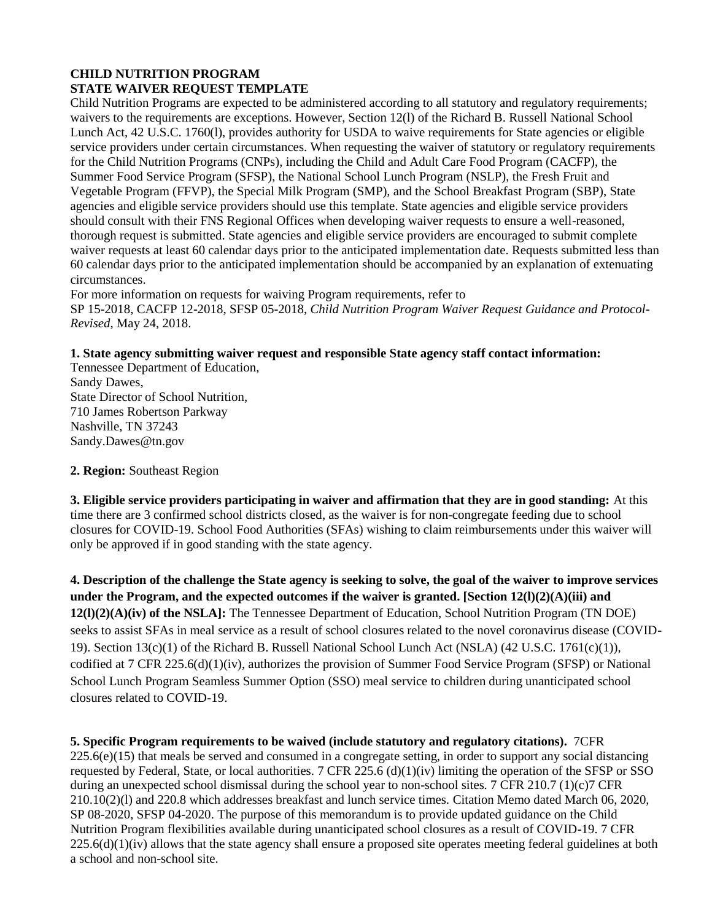# **CHILD NUTRITION PROGRAM STATE WAIVER REQUEST TEMPLATE**

Child Nutrition Programs are expected to be administered according to all statutory and regulatory requirements; waivers to the requirements are exceptions. However, Section 12(l) of the Richard B. Russell National School Lunch Act, 42 U.S.C. 1760(l), provides authority for USDA to waive requirements for State agencies or eligible service providers under certain circumstances. When requesting the waiver of statutory or regulatory requirements for the Child Nutrition Programs (CNPs), including the Child and Adult Care Food Program (CACFP), the Summer Food Service Program (SFSP), the National School Lunch Program (NSLP), the Fresh Fruit and Vegetable Program (FFVP), the Special Milk Program (SMP), and the School Breakfast Program (SBP), State agencies and eligible service providers should use this template. State agencies and eligible service providers should consult with their FNS Regional Offices when developing waiver requests to ensure a well-reasoned, thorough request is submitted. State agencies and eligible service providers are encouraged to submit complete waiver requests at least 60 calendar days prior to the anticipated implementation date. Requests submitted less than 60 calendar days prior to the anticipated implementation should be accompanied by an explanation of extenuating circumstances.

For more information on requests for waiving Program requirements, refer to SP 15-2018, CACFP 12-2018, SFSP 05-2018, *Child Nutrition Program Waiver Request Guidance and Protocol-Revised*, May 24, 2018.

# **1. State agency submitting waiver request and responsible State agency staff contact information:**

Tennessee Department of Education, Sandy Dawes, State Director of School Nutrition, 710 James Robertson Parkway Nashville, TN 37243 Sandy.Dawes@tn.gov

**2. Region:** Southeast Region

**3. Eligible service providers participating in waiver and affirmation that they are in good standing:** At this time there are 3 confirmed school districts closed, as the waiver is for non-congregate feeding due to school closures for COVID-19. School Food Authorities (SFAs) wishing to claim reimbursements under this waiver will only be approved if in good standing with the state agency.

**4. Description of the challenge the State agency is seeking to solve, the goal of the waiver to improve services under the Program, and the expected outcomes if the waiver is granted. [Section 12(l)(2)(A)(iii) and 12(l)(2)(A)(iv) of the NSLA]:** The Tennessee Department of Education, School Nutrition Program (TN DOE) seeks to assist SFAs in meal service as a result of school closures related to the novel coronavirus disease (COVID-19). Section 13(c)(1) of the Richard B. Russell National School Lunch Act (NSLA) (42 U.S.C. 1761(c)(1)), codified at 7 CFR 225.6(d)(1)(iv), authorizes the provision of Summer Food Service Program (SFSP) or National School Lunch Program Seamless Summer Option (SSO) meal service to children during unanticipated school closures related to COVID-19.

**5. Specific Program requirements to be waived (include statutory and regulatory citations).** 7CFR  $225.6(e)(15)$  that meals be served and consumed in a congregate setting, in order to support any social distancing requested by Federal, State, or local authorities. 7 CFR 225.6 (d)(1)(iv) limiting the operation of the SFSP or SSO during an unexpected school dismissal during the school year to non-school sites. 7 CFR 210.7 (1)(c)7 CFR 210.10(2)(l) and 220.8 which addresses breakfast and lunch service times. Citation Memo dated March 06, 2020, SP 08-2020, SFSP 04-2020. The purpose of this memorandum is to provide updated guidance on the Child Nutrition Program flexibilities available during unanticipated school closures as a result of COVID-19. 7 CFR  $225.6(d)(1)(iv)$  allows that the state agency shall ensure a proposed site operates meeting federal guidelines at both a school and non-school site.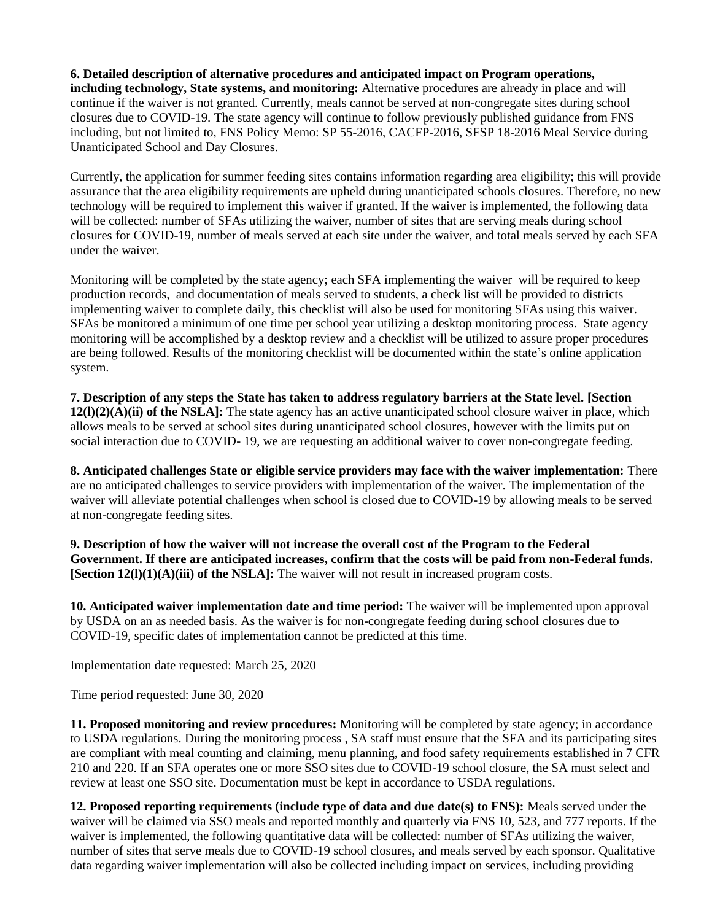# **6. Detailed description of alternative procedures and anticipated impact on Program operations,**

**including technology, State systems, and monitoring:** Alternative procedures are already in place and will continue if the waiver is not granted. Currently, meals cannot be served at non-congregate sites during school closures due to COVID-19. The state agency will continue to follow previously published guidance from FNS including, but not limited to, FNS Policy Memo: SP 55-2016, CACFP-2016, SFSP 18-2016 Meal Service during Unanticipated School and Day Closures.

Currently, the application for summer feeding sites contains information regarding area eligibility; this will provide assurance that the area eligibility requirements are upheld during unanticipated schools closures. Therefore, no new technology will be required to implement this waiver if granted. If the waiver is implemented, the following data will be collected: number of SFAs utilizing the waiver, number of sites that are serving meals during school closures for COVID-19, number of meals served at each site under the waiver, and total meals served by each SFA under the waiver.

Monitoring will be completed by the state agency; each SFA implementing the waiver will be required to keep production records, and documentation of meals served to students, a check list will be provided to districts implementing waiver to complete daily, this checklist will also be used for monitoring SFAs using this waiver. SFAs be monitored a minimum of one time per school year utilizing a desktop monitoring process. State agency monitoring will be accomplished by a desktop review and a checklist will be utilized to assure proper procedures are being followed. Results of the monitoring checklist will be documented within the state's online application system.

**7. Description of any steps the State has taken to address regulatory barriers at the State level. [Section 12(l)(2)(A)(ii) of the NSLA]:** The state agency has an active unanticipated school closure waiver in place, which allows meals to be served at school sites during unanticipated school closures, however with the limits put on social interaction due to COVID- 19, we are requesting an additional waiver to cover non-congregate feeding.

**8. Anticipated challenges State or eligible service providers may face with the waiver implementation:** There are no anticipated challenges to service providers with implementation of the waiver. The implementation of the waiver will alleviate potential challenges when school is closed due to COVID-19 by allowing meals to be served at non-congregate feeding sites.

**9. Description of how the waiver will not increase the overall cost of the Program to the Federal Government. If there are anticipated increases, confirm that the costs will be paid from non-Federal funds. [Section 12(l)(1)(A)(iii) of the NSLA]:** The waiver will not result in increased program costs.

**10. Anticipated waiver implementation date and time period:** The waiver will be implemented upon approval by USDA on an as needed basis. As the waiver is for non-congregate feeding during school closures due to COVID-19, specific dates of implementation cannot be predicted at this time.

Implementation date requested: March 25, 2020

Time period requested: June 30, 2020

**11. Proposed monitoring and review procedures:** Monitoring will be completed by state agency; in accordance to USDA regulations. During the monitoring process , SA staff must ensure that the SFA and its participating sites are compliant with meal counting and claiming, menu planning, and food safety requirements established in 7 CFR 210 and 220. If an SFA operates one or more SSO sites due to COVID-19 school closure, the SA must select and review at least one SSO site. Documentation must be kept in accordance to USDA regulations.

**12. Proposed reporting requirements (include type of data and due date(s) to FNS):** Meals served under the waiver will be claimed via SSO meals and reported monthly and quarterly via FNS 10, 523, and 777 reports. If the waiver is implemented, the following quantitative data will be collected: number of SFAs utilizing the waiver, number of sites that serve meals due to COVID-19 school closures, and meals served by each sponsor. Qualitative data regarding waiver implementation will also be collected including impact on services, including providing